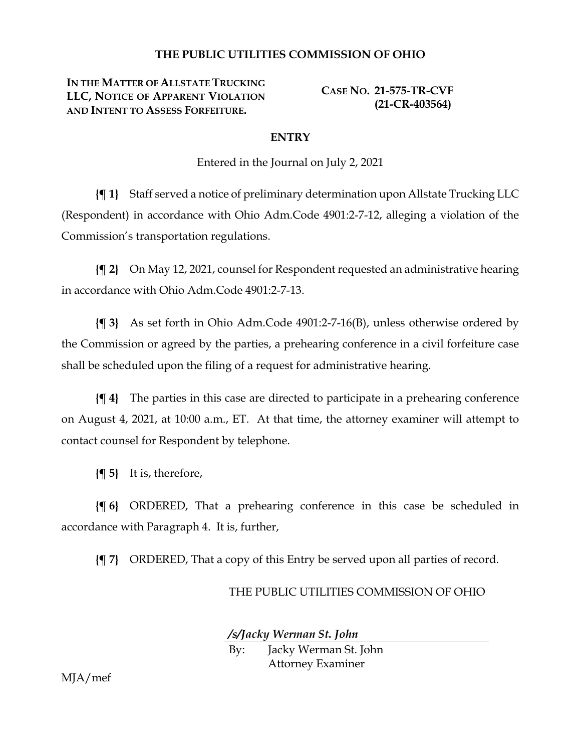## **THE PUBLIC UTILITIES COMMISSION OF OHIO**

**IN THE MATTER OF ALLSTATE TRUCKING LLC, NOTICE OF APPARENT VIOLATION AND INTENT TO ASSESS FORFEITURE.**

**CASE NO. 21-575-TR-CVF (21-CR-403564)**

## **ENTRY**

Entered in the Journal on July 2, 2021

**{¶ 1}** Staff served a notice of preliminary determination upon Allstate Trucking LLC (Respondent) in accordance with Ohio Adm.Code 4901:2-7-12, alleging a violation of the Commission's transportation regulations.

**{¶ 2}** On May 12, 2021, counsel for Respondent requested an administrative hearing in accordance with Ohio Adm.Code 4901:2-7-13.

**{¶ 3}** As set forth in Ohio Adm.Code 4901:2-7-16(B), unless otherwise ordered by the Commission or agreed by the parties, a prehearing conference in a civil forfeiture case shall be scheduled upon the filing of a request for administrative hearing.

**{¶ 4}** The parties in this case are directed to participate in a prehearing conference on August 4, 2021, at 10:00 a.m., ET. At that time, the attorney examiner will attempt to contact counsel for Respondent by telephone.

**{¶ 5}** It is, therefore,

**{¶ 6}** ORDERED, That a prehearing conference in this case be scheduled in accordance with Paragraph 4. It is, further,

**{¶ 7}** ORDERED, That a copy of this Entry be served upon all parties of record.

## THE PUBLIC UTILITIES COMMISSION OF OHIO

*/s/Jacky Werman St. John*

By: Jacky Werman St. John Attorney Examiner

MJA/mef